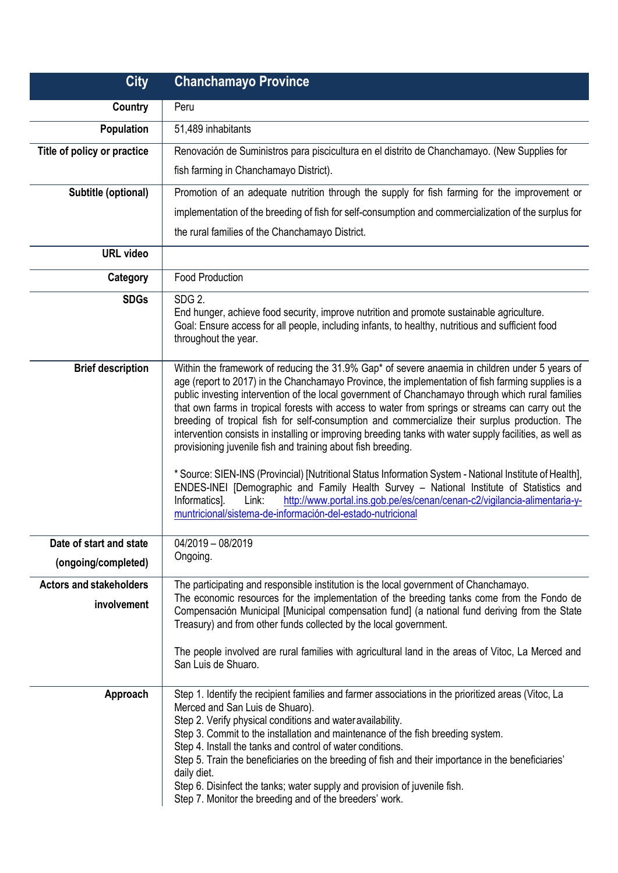| <b>City</b>                                   | <b>Chanchamayo Province</b>                                                                                                                                                                                                                                                                                                                                                                                                                                                                                                                                                                                                                                                                                                                                                                                                                                                                                                                                                                                                                                            |
|-----------------------------------------------|------------------------------------------------------------------------------------------------------------------------------------------------------------------------------------------------------------------------------------------------------------------------------------------------------------------------------------------------------------------------------------------------------------------------------------------------------------------------------------------------------------------------------------------------------------------------------------------------------------------------------------------------------------------------------------------------------------------------------------------------------------------------------------------------------------------------------------------------------------------------------------------------------------------------------------------------------------------------------------------------------------------------------------------------------------------------|
| <b>Country</b>                                | Peru                                                                                                                                                                                                                                                                                                                                                                                                                                                                                                                                                                                                                                                                                                                                                                                                                                                                                                                                                                                                                                                                   |
| <b>Population</b>                             | 51,489 inhabitants                                                                                                                                                                                                                                                                                                                                                                                                                                                                                                                                                                                                                                                                                                                                                                                                                                                                                                                                                                                                                                                     |
| Title of policy or practice                   | Renovación de Suministros para piscicultura en el distrito de Chanchamayo. (New Supplies for                                                                                                                                                                                                                                                                                                                                                                                                                                                                                                                                                                                                                                                                                                                                                                                                                                                                                                                                                                           |
|                                               | fish farming in Chanchamayo District).                                                                                                                                                                                                                                                                                                                                                                                                                                                                                                                                                                                                                                                                                                                                                                                                                                                                                                                                                                                                                                 |
| Subtitle (optional)                           | Promotion of an adequate nutrition through the supply for fish farming for the improvement or                                                                                                                                                                                                                                                                                                                                                                                                                                                                                                                                                                                                                                                                                                                                                                                                                                                                                                                                                                          |
|                                               | implementation of the breeding of fish for self-consumption and commercialization of the surplus for                                                                                                                                                                                                                                                                                                                                                                                                                                                                                                                                                                                                                                                                                                                                                                                                                                                                                                                                                                   |
|                                               | the rural families of the Chanchamayo District.                                                                                                                                                                                                                                                                                                                                                                                                                                                                                                                                                                                                                                                                                                                                                                                                                                                                                                                                                                                                                        |
| <b>URL</b> video                              |                                                                                                                                                                                                                                                                                                                                                                                                                                                                                                                                                                                                                                                                                                                                                                                                                                                                                                                                                                                                                                                                        |
| Category                                      | <b>Food Production</b>                                                                                                                                                                                                                                                                                                                                                                                                                                                                                                                                                                                                                                                                                                                                                                                                                                                                                                                                                                                                                                                 |
| <b>SDGs</b>                                   | SDG <sub>2</sub> .<br>End hunger, achieve food security, improve nutrition and promote sustainable agriculture.<br>Goal: Ensure access for all people, including infants, to healthy, nutritious and sufficient food<br>throughout the year.                                                                                                                                                                                                                                                                                                                                                                                                                                                                                                                                                                                                                                                                                                                                                                                                                           |
| <b>Brief description</b>                      | Within the framework of reducing the 31.9% Gap* of severe anaemia in children under 5 years of<br>age (report to 2017) in the Chanchamayo Province, the implementation of fish farming supplies is a<br>public investing intervention of the local government of Chanchamayo through which rural families<br>that own farms in tropical forests with access to water from springs or streams can carry out the<br>breeding of tropical fish for self-consumption and commercialize their surplus production. The<br>intervention consists in installing or improving breeding tanks with water supply facilities, as well as<br>provisioning juvenile fish and training about fish breeding.<br>* Source: SIEN-INS (Provincial) [Nutritional Status Information System - National Institute of Health],<br>ENDES-INEI [Demographic and Family Health Survey - National Institute of Statistics and<br>http://www.portal.ins.gob.pe/es/cenan/cenan-c2/vigilancia-alimentaria-y-<br>Informatics].<br>Link:<br>muntricional/sistema-de-información-del-estado-nutricional |
| Date of start and state                       | 04/2019 - 08/2019                                                                                                                                                                                                                                                                                                                                                                                                                                                                                                                                                                                                                                                                                                                                                                                                                                                                                                                                                                                                                                                      |
| (ongoing/completed)                           | Ongoing.                                                                                                                                                                                                                                                                                                                                                                                                                                                                                                                                                                                                                                                                                                                                                                                                                                                                                                                                                                                                                                                               |
| <b>Actors and stakeholders</b><br>involvement | The participating and responsible institution is the local government of Chanchamayo.<br>The economic resources for the implementation of the breeding tanks come from the Fondo de<br>Compensación Municipal [Municipal compensation fund] (a national fund deriving from the State<br>Treasury) and from other funds collected by the local government.<br>The people involved are rural families with agricultural land in the areas of Vitoc, La Merced and<br>San Luis de Shuaro.                                                                                                                                                                                                                                                                                                                                                                                                                                                                                                                                                                                 |
| Approach                                      | Step 1. Identify the recipient families and farmer associations in the prioritized areas (Vitoc, La<br>Merced and San Luis de Shuaro).<br>Step 2. Verify physical conditions and water availability.<br>Step 3. Commit to the installation and maintenance of the fish breeding system.<br>Step 4. Install the tanks and control of water conditions.<br>Step 5. Train the beneficiaries on the breeding of fish and their importance in the beneficiaries'<br>daily diet.<br>Step 6. Disinfect the tanks; water supply and provision of juvenile fish.<br>Step 7. Monitor the breeding and of the breeders' work.                                                                                                                                                                                                                                                                                                                                                                                                                                                     |